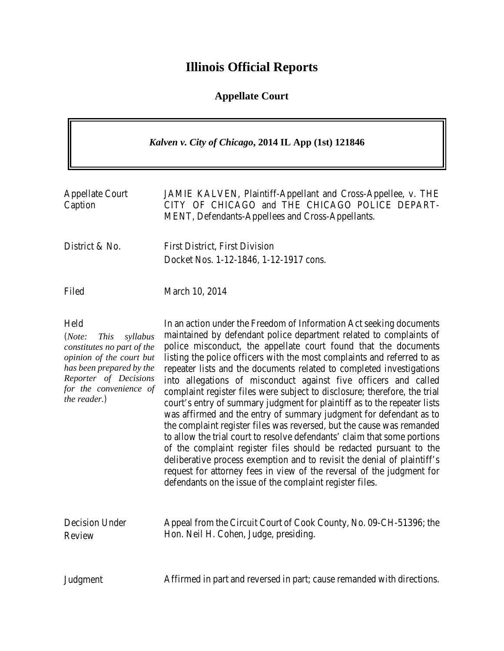## **Illinois Official Reports**

## **Appellate Court**

| Kalven v. City of Chicago, 2014 IL App (1st) 121846                                                                                                                                                |                                                                                                                                                                                                                                                                                                                                                                                                                                                                                                                                                                                                                                                                                                                                                                                                                                                                                                                                                                                                                                                                                                              |
|----------------------------------------------------------------------------------------------------------------------------------------------------------------------------------------------------|--------------------------------------------------------------------------------------------------------------------------------------------------------------------------------------------------------------------------------------------------------------------------------------------------------------------------------------------------------------------------------------------------------------------------------------------------------------------------------------------------------------------------------------------------------------------------------------------------------------------------------------------------------------------------------------------------------------------------------------------------------------------------------------------------------------------------------------------------------------------------------------------------------------------------------------------------------------------------------------------------------------------------------------------------------------------------------------------------------------|
| <b>Appellate Court</b><br>Caption                                                                                                                                                                  | JAMIE KALVEN, Plaintiff-Appellant and Cross-Appellee, v. THE<br>CITY OF CHICAGO and THE CHICAGO POLICE DEPART-<br>MENT, Defendants-Appellees and Cross-Appellants.                                                                                                                                                                                                                                                                                                                                                                                                                                                                                                                                                                                                                                                                                                                                                                                                                                                                                                                                           |
| District & No.                                                                                                                                                                                     | <b>First District, First Division</b><br>Docket Nos. 1-12-1846, 1-12-1917 cons.                                                                                                                                                                                                                                                                                                                                                                                                                                                                                                                                                                                                                                                                                                                                                                                                                                                                                                                                                                                                                              |
| Filed                                                                                                                                                                                              | March 10, 2014                                                                                                                                                                                                                                                                                                                                                                                                                                                                                                                                                                                                                                                                                                                                                                                                                                                                                                                                                                                                                                                                                               |
| Held<br>(Note:<br><i>This</i><br>syllabus<br>constitutes no part of the<br>opinion of the court but<br>has been prepared by the<br>Reporter of Decisions<br>for the convenience of<br>the reader.) | In an action under the Freedom of Information Act seeking documents<br>maintained by defendant police department related to complaints of<br>police misconduct, the appellate court found that the documents<br>listing the police officers with the most complaints and referred to as<br>repeater lists and the documents related to completed investigations<br>into allegations of misconduct against five officers and called<br>complaint register files were subject to disclosure; therefore, the trial<br>court's entry of summary judgment for plaintiff as to the repeater lists<br>was affirmed and the entry of summary judgment for defendant as to<br>the complaint register files was reversed, but the cause was remanded<br>to allow the trial court to resolve defendants' claim that some portions<br>of the complaint register files should be redacted pursuant to the<br>deliberative process exemption and to revisit the denial of plaintiff's<br>request for attorney fees in view of the reversal of the judgment for<br>defendants on the issue of the complaint register files. |
| Decision Under<br>Review                                                                                                                                                                           | Appeal from the Circuit Court of Cook County, No. 09-CH-51396; the<br>Hon. Neil H. Cohen, Judge, presiding.                                                                                                                                                                                                                                                                                                                                                                                                                                                                                                                                                                                                                                                                                                                                                                                                                                                                                                                                                                                                  |
| Judgment                                                                                                                                                                                           | Affirmed in part and reversed in part; cause remanded with directions.                                                                                                                                                                                                                                                                                                                                                                                                                                                                                                                                                                                                                                                                                                                                                                                                                                                                                                                                                                                                                                       |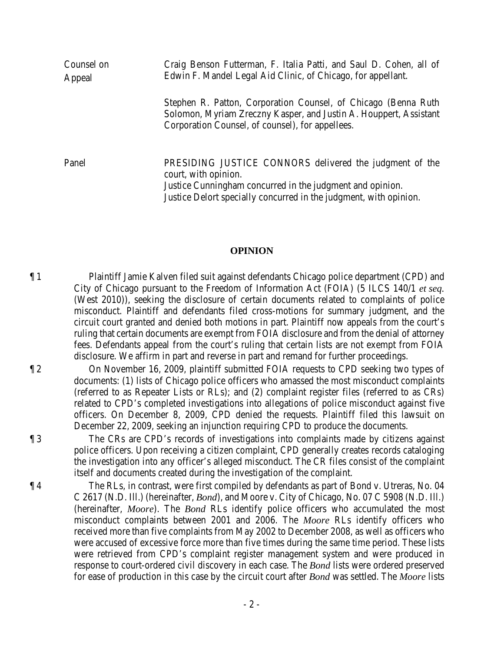| Counsel on<br>Appeal | Craig Benson Futterman, F. Italia Patti, and Saul D. Cohen, all of<br>Edwin F. Mandel Legal Aid Clinic, of Chicago, for appellant.                                                                                |
|----------------------|-------------------------------------------------------------------------------------------------------------------------------------------------------------------------------------------------------------------|
|                      | Stephen R. Patton, Corporation Counsel, of Chicago (Benna Ruth)<br>Solomon, Myriam Zreczny Kasper, and Justin A. Houppert, Assistant<br>Corporation Counsel, of counsel), for appellees.                          |
| Panel                | PRESIDING JUSTICE CONNORS delivered the judgment of the<br>court, with opinion.<br>Justice Cunningham concurred in the judgment and opinion.<br>Justice Delort specially concurred in the judgment, with opinion. |

## **OPINION**

¶ 1 Plaintiff Jamie Kalven filed suit against defendants Chicago police department (CPD) and City of Chicago pursuant to the Freedom of Information Act (FOIA) (5 ILCS 140/1 *et seq.* (West 2010)), seeking the disclosure of certain documents related to complaints of police misconduct. Plaintiff and defendants filed cross-motions for summary judgment, and the circuit court granted and denied both motions in part. Plaintiff now appeals from the court's ruling that certain documents are exempt from FOIA disclosure and from the denial of attorney fees. Defendants appeal from the court's ruling that certain lists are not exempt from FOIA disclosure. We affirm in part and reverse in part and remand for further proceedings.

¶ 2 On November 16, 2009, plaintiff submitted FOIA requests to CPD seeking two types of documents: (1) lists of Chicago police officers who amassed the most misconduct complaints (referred to as Repeater Lists or RLs); and (2) complaint register files (referred to as CRs) related to CPD's completed investigations into allegations of police misconduct against five officers. On December 8, 2009, CPD denied the requests. Plaintiff filed this lawsuit on December 22, 2009, seeking an injunction requiring CPD to produce the documents.

¶ 3 The CRs are CPD's records of investigations into complaints made by citizens against police officers. Upon receiving a citizen complaint, CPD generally creates records cataloging the investigation into any officer's alleged misconduct. The CR files consist of the complaint itself and documents created during the investigation of the complaint.

¶ 4 The RLs, in contrast, were first compiled by defendants as part of Bond v. Utreras, No. 04 C 2617 (N.D. Ill.) (hereinafter, *Bond*), and Moore v. City of Chicago, No. 07 C 5908 (N.D. Ill.) (hereinafter, *Moore*). The *Bond* RLs identify police officers who accumulated the most misconduct complaints between 2001 and 2006. The *Moore* RLs identify officers who received more than five complaints from May 2002 to December 2008, as well as officers who were accused of excessive force more than five times during the same time period. These lists were retrieved from CPD's complaint register management system and were produced in response to court-ordered civil discovery in each case. The *Bond* lists were ordered preserved for ease of production in this case by the circuit court after *Bond* was settled. The *Moore* lists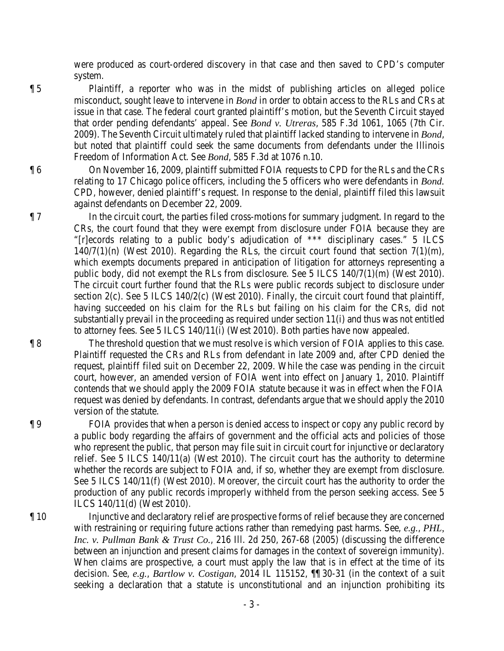were produced as court-ordered discovery in that case and then saved to CPD's computer system.

¶ 5 Plaintiff, a reporter who was in the midst of publishing articles on alleged police misconduct, sought leave to intervene in *Bond* in order to obtain access to the RLs and CRs at issue in that case. The federal court granted plaintiff's motion, but the Seventh Circuit stayed that order pending defendants' appeal. See *Bond v. Utreras*, 585 F.3d 1061, 1065 (7th Cir. 2009). The Seventh Circuit ultimately ruled that plaintiff lacked standing to intervene in *Bond*, but noted that plaintiff could seek the same documents from defendants under the Illinois Freedom of Information Act. See *Bond*, 585 F.3d at 1076 n.10.

¶ 6 On November 16, 2009, plaintiff submitted FOIA requests to CPD for the RLs and the CRs relating to 17 Chicago police officers, including the 5 officers who were defendants in *Bond.* CPD, however, denied plaintiff's request. In response to the denial, plaintiff filed this lawsuit against defendants on December 22, 2009.

¶ 7 In the circuit court, the parties filed cross-motions for summary judgment. In regard to the CRs, the court found that they were exempt from disclosure under FOIA because they are "[r]ecords relating to a public body's adjudication of \*\*\* disciplinary cases." 5 ILCS  $140/7(1)(n)$  (West 2010). Regarding the RLs, the circuit court found that section  $7(1)(m)$ , which exempts documents prepared in anticipation of litigation for attorneys representing a public body, did not exempt the RLs from disclosure. See 5 ILCS 140/7(1)(m) (West 2010). The circuit court further found that the RLs were public records subject to disclosure under section 2(c). See 5 ILCS 140/2(c) (West 2010). Finally, the circuit court found that plaintiff, having succeeded on his claim for the RLs but failing on his claim for the CRs, did not substantially prevail in the proceeding as required under section 11(i) and thus was not entitled to attorney fees. See 5 ILCS 140/11(i) (West 2010). Both parties have now appealed.

¶ 8 The threshold question that we must resolve is which version of FOIA applies to this case. Plaintiff requested the CRs and RLs from defendant in late 2009 and, after CPD denied the request, plaintiff filed suit on December 22, 2009. While the case was pending in the circuit court, however, an amended version of FOIA went into effect on January 1, 2010. Plaintiff contends that we should apply the 2009 FOIA statute because it was in effect when the FOIA request was denied by defendants. In contrast, defendants argue that we should apply the 2010 version of the statute.

¶ 9 FOIA provides that when a person is denied access to inspect or copy any public record by a public body regarding the affairs of government and the official acts and policies of those who represent the public, that person may file suit in circuit court for injunctive or declaratory relief. See 5 ILCS 140/11(a) (West 2010). The circuit court has the authority to determine whether the records are subject to FOIA and, if so, whether they are exempt from disclosure. See 5 ILCS 140/11(f) (West 2010). Moreover, the circuit court has the authority to order the production of any public records improperly withheld from the person seeking access. See 5 ILCS 140/11(d) (West 2010).

¶ 10 Injunctive and declaratory relief are prospective forms of relief because they are concerned with restraining or requiring future actions rather than remedying past harms. See, *e.g.*, *PHL, Inc. v. Pullman Bank & Trust Co.*, 216 Ill. 2d 250, 267-68 (2005) (discussing the difference between an injunction and present claims for damages in the context of sovereign immunity). When claims are prospective, a court must apply the law that is in effect at the time of its decision. See, *e.g.*, *Bartlow v. Costigan*, 2014 IL 115152, ¶¶ 30-31 (in the context of a suit seeking a declaration that a statute is unconstitutional and an injunction prohibiting its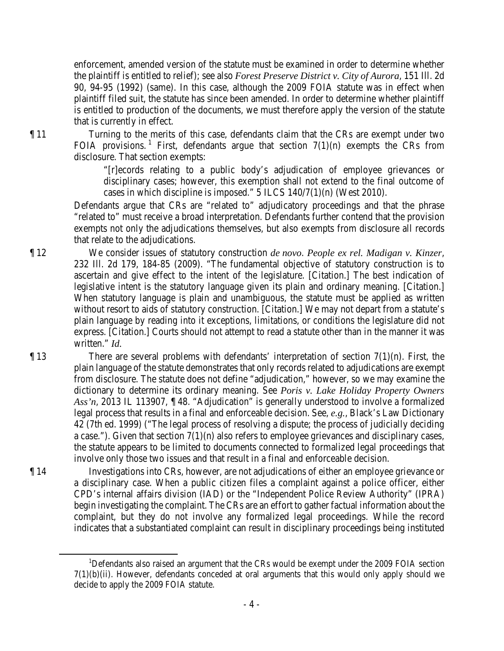enforcement, amended version of the statute must be examined in order to determine whether the plaintiff is entitled to relief); see also *Forest Preserve District v. City of Aurora*, 151 Ill. 2d 90, 94-95 (1992) (same). In this case, although the 2009 FOIA statute was in effect when plaintiff filed suit, the statute has since been amended. In order to determine whether plaintiff is entitled to production of the documents, we must therefore apply the version of the statute that is currently in effect.

¶ 11 Turning to the merits of this case, defendants claim that the CRs are exempt under two FOIA provisions.<sup>[1](#page-3-0)</sup> First, defendants argue that section  $7(1)(n)$  exempts the CRs from disclosure. That section exempts:

> "[r]ecords relating to a public body's adjudication of employee grievances or disciplinary cases; however, this exemption shall not extend to the final outcome of cases in which discipline is imposed." 5 ILCS 140/7(1)(n) (West 2010).

Defendants argue that CRs are "related to" adjudicatory proceedings and that the phrase "related to" must receive a broad interpretation. Defendants further contend that the provision exempts not only the adjudications themselves, but also exempts from disclosure all records that relate to the adjudications.

¶ 12 We consider issues of statutory construction *de novo*. *People ex rel. Madigan v. Kinzer*, 232 Ill. 2d 179, 184-85 (2009). "The fundamental objective of statutory construction is to ascertain and give effect to the intent of the legislature. [Citation.] The best indication of legislative intent is the statutory language given its plain and ordinary meaning. [Citation.] When statutory language is plain and unambiguous, the statute must be applied as written without resort to aids of statutory construction. [Citation.] We may not depart from a statute's plain language by reading into it exceptions, limitations, or conditions the legislature did not express. [Citation.] Courts should not attempt to read a statute other than in the manner it was written." *Id.*

 $\P$ 13 There are several problems with defendants' interpretation of section  $7(1)(n)$ . First, the plain language of the statute demonstrates that only records related to adjudications are exempt from disclosure. The statute does not define "adjudication," however, so we may examine the dictionary to determine its ordinary meaning. See *Poris v. Lake Holiday Property Owners Ass'n*, 2013 IL 113907, ¶ 48. "Adjudication" is generally understood to involve a formalized legal process that results in a final and enforceable decision. See, *e.g.*, Black's Law Dictionary 42 (7th ed. 1999) ("The legal process of resolving a dispute; the process of judicially deciding a case."). Given that section 7(1)(n) also refers to employee grievances and disciplinary cases, the statute appears to be limited to documents connected to formalized legal proceedings that involve only those two issues and that result in a final and enforceable decision.

¶ 14 Investigations into CRs, however, are not adjudications of either an employee grievance or a disciplinary case. When a public citizen files a complaint against a police officer, either CPD's internal affairs division (IAD) or the "Independent Police Review Authority" (IPRA) begin investigating the complaint. The CRs are an effort to gather factual information about the complaint, but they do not involve any formalized legal proceedings. While the record indicates that a substantiated complaint can result in disciplinary proceedings being instituted

<span id="page-3-0"></span><sup>&</sup>lt;u>1</u> <sup>1</sup>Defendants also raised an argument that the CRs would be exempt under the 2009 FOIA section  $7(1)(b)(ii)$ . However, defendants conceded at oral arguments that this would only apply should we decide to apply the 2009 FOIA statute.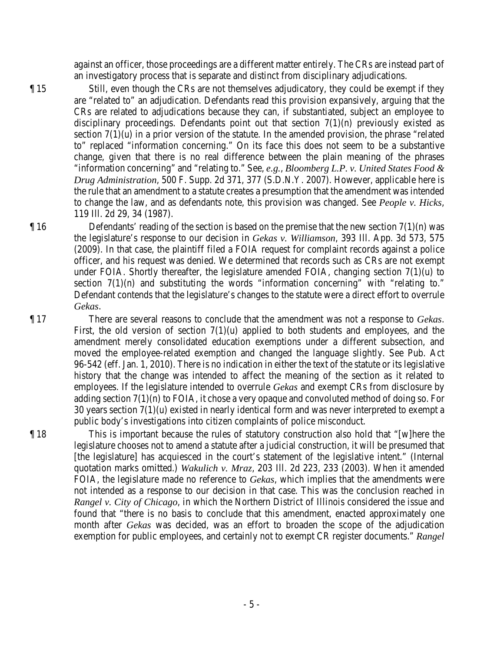against an officer, those proceedings are a different matter entirely. The CRs are instead part of an investigatory process that is separate and distinct from disciplinary adjudications.

¶ 15 Still, even though the CRs are not themselves adjudicatory, they could be exempt if they are "related to" an adjudication. Defendants read this provision expansively, arguing that the CRs are related to adjudications because they can, if substantiated, subject an employee to disciplinary proceedings. Defendants point out that section  $7(1)(n)$  previously existed as section  $7(1)(u)$  in a prior version of the statute. In the amended provision, the phrase "related to" replaced "information concerning." On its face this does not seem to be a substantive change, given that there is no real difference between the plain meaning of the phrases "information concerning" and "relating to." See, *e.g.*, *Bloomberg L.P. v. United States Food & Drug Administration*, 500 F. Supp. 2d 371, 377 (S.D.N.Y. 2007). However, applicable here is the rule that an amendment to a statute creates a presumption that the amendment was intended to change the law, and as defendants note, this provision was changed. See *People v. Hicks*, 119 Ill. 2d 29, 34 (1987).

 $\P$  16 Defendants' reading of the section is based on the premise that the new section  $7(1)(n)$  was the legislature's response to our decision in *Gekas v. Williamson*, 393 Ill. App. 3d 573, 575 (2009). In that case, the plaintiff filed a FOIA request for complaint records against a police officer, and his request was denied. We determined that records such as CRs are not exempt under FOIA. Shortly thereafter, the legislature amended FOIA, changing section 7(1)(u) to section  $7(1)(n)$  and substituting the words "information concerning" with "relating to." Defendant contends that the legislature's changes to the statute were a direct effort to overrule *Gekas*.

¶ 17 There are several reasons to conclude that the amendment was not a response to *Gekas*. First, the old version of section  $7(1)(u)$  applied to both students and employees, and the amendment merely consolidated education exemptions under a different subsection, and moved the employee-related exemption and changed the language slightly. See Pub. Act 96-542 (eff. Jan. 1, 2010). There is no indication in either the text of the statute or its legislative history that the change was intended to affect the meaning of the section as it related to employees. If the legislature intended to overrule *Gekas* and exempt CRs from disclosure by adding section 7(1)(n) to FOIA, it chose a very opaque and convoluted method of doing so. For 30 years section 7(1)(u) existed in nearly identical form and was never interpreted to exempt a public body's investigations into citizen complaints of police misconduct.

¶ 18 This is important because the rules of statutory construction also hold that "[w]here the legislature chooses not to amend a statute after a judicial construction, it will be presumed that [the legislature] has acquiesced in the court's statement of the legislative intent." (Internal quotation marks omitted.) *Wakulich v. Mraz*, 203 Ill. 2d 223, 233 (2003). When it amended FOIA, the legislature made no reference to *Gekas*, which implies that the amendments were not intended as a response to our decision in that case. This was the conclusion reached in *Rangel v. City of Chicago*, in which the Northern District of Illinois considered the issue and found that "there is no basis to conclude that this amendment, enacted approximately one month after *Gekas* was decided, was an effort to broaden the scope of the adjudication exemption for public employees, and certainly not to exempt CR register documents." *Rangel*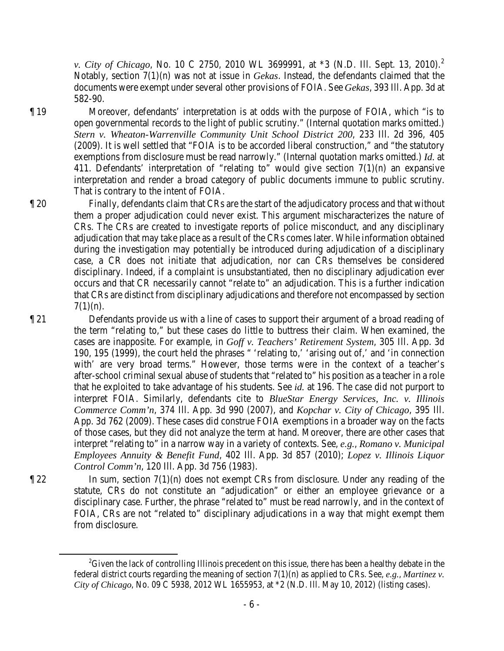*v. City of Chicago*, No. 10 C [2](#page-5-0)750, 2010 WL 3699991, at \*3 (N.D. Ill. Sept. 13, 2010).<sup>2</sup> Notably, section 7(1)(n) was not at issue in *Gekas*. Instead, the defendants claimed that the documents were exempt under several other provisions of FOIA. See *Gekas*, 393 Ill. App. 3d at 582-90.

¶ 19 Moreover, defendants' interpretation is at odds with the purpose of FOIA, which "is to open governmental records to the light of public scrutiny." (Internal quotation marks omitted.) *Stern v. Wheaton-Warrenville Community Unit School District 200*, 233 Ill. 2d 396, 405 (2009). It is well settled that "FOIA is to be accorded liberal construction," and "the statutory exemptions from disclosure must be read narrowly." (Internal quotation marks omitted.) *Id.* at 411. Defendants' interpretation of "relating to" would give section  $7(1)(n)$  an expansive interpretation and render a broad category of public documents immune to public scrutiny. That is contrary to the intent of FOIA.

- ¶ 20 Finally, defendants claim that CRs are the start of the adjudicatory process and that without them a proper adjudication could never exist. This argument mischaracterizes the nature of CRs. The CRs are created to investigate reports of police misconduct, and any disciplinary adjudication that may take place as a result of the CRs comes later. While information obtained during the investigation may potentially be introduced during adjudication of a disciplinary case, a CR does not initiate that adjudication, nor can CRs themselves be considered disciplinary. Indeed, if a complaint is unsubstantiated, then no disciplinary adjudication ever occurs and that CR necessarily cannot "relate to" an adjudication. This is a further indication that CRs are distinct from disciplinary adjudications and therefore not encompassed by section  $7(1)(n)$ .
- ¶ 21 Defendants provide us with a line of cases to support their argument of a broad reading of the term "relating to," but these cases do little to buttress their claim. When examined, the cases are inapposite. For example, in *Goff v. Teachers' Retirement System*, 305 Ill. App. 3d 190, 195 (1999), the court held the phrases " 'relating to,' 'arising out of,' and 'in connection with' are very broad terms." However, those terms were in the context of a teacher's after-school criminal sexual abuse of students that "related to" his position as a teacher in a role that he exploited to take advantage of his students. See *id.* at 196. The case did not purport to interpret FOIA. Similarly, defendants cite to *BlueStar Energy Services, Inc. v. Illinois Commerce Comm'n*, 374 Ill. App. 3d 990 (2007), and *Kopchar v. City of Chicago*, 395 Ill. App. 3d 762 (2009). These cases did construe FOIA exemptions in a broader way on the facts of those cases, but they did not analyze the term at hand. Moreover, there are other cases that interpret "relating to" in a narrow way in a variety of contexts. See, *e.g.*, *Romano v. Municipal Employees Annuity & Benefit Fund*, 402 Ill. App. 3d 857 (2010); *Lopez v. Illinois Liquor Control Comm'n*, 120 Ill. App. 3d 756 (1983).
- $\P$  22 In sum, section  $7(1)(n)$  does not exempt CRs from disclosure. Under any reading of the statute, CRs do not constitute an "adjudication" or either an employee grievance or a disciplinary case. Further, the phrase "related to" must be read narrowly, and in the context of FOIA, CRs are not "related to" disciplinary adjudications in a way that might exempt them from disclosure.

<span id="page-5-0"></span> $\overline{\phantom{a}}$  2  $^{2}$ Given the lack of controlling Illinois precedent on this issue, there has been a healthy debate in the federal district courts regarding the meaning of section 7(1)(n) as applied to CRs. See, *e.g.*, *Martinez v. City of Chicago*, No. 09 C 5938, 2012 WL 1655953, at \*2 (N.D. Ill. May 10, 2012) (listing cases).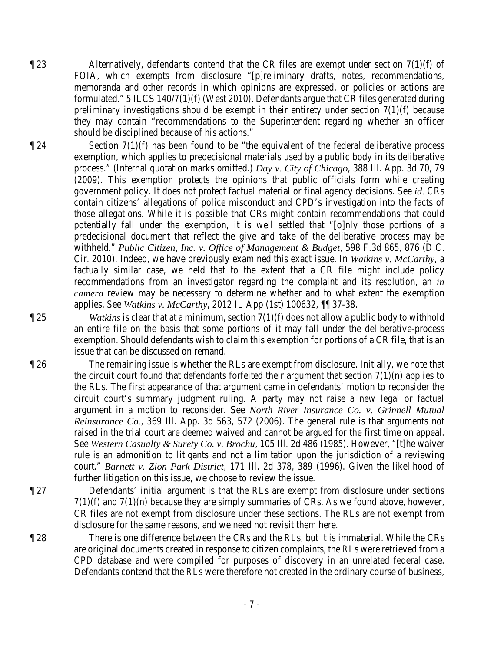- ¶ 23 Alternatively, defendants contend that the CR files are exempt under section 7(1)(f) of FOIA, which exempts from disclosure "[p]reliminary drafts, notes, recommendations, memoranda and other records in which opinions are expressed, or policies or actions are formulated." 5 ILCS 140/7(1)(f) (West 2010). Defendants argue that CR files generated during preliminary investigations should be exempt in their entirety under section 7(1)(f) because they may contain "recommendations to the Superintendent regarding whether an officer should be disciplined because of his actions."
- 

 $\P$  24 Section 7(1)(f) has been found to be "the equivalent of the federal deliberative process exemption, which applies to predecisional materials used by a public body in its deliberative process." (Internal quotation marks omitted.) *Day v. City of Chicago*, 388 Ill. App. 3d 70, 79 (2009). This exemption protects the opinions that public officials form while creating government policy. It does not protect factual material or final agency decisions. See *id.* CRs contain citizens' allegations of police misconduct and CPD's investigation into the facts of those allegations. While it is possible that CRs might contain recommendations that could potentially fall under the exemption, it is well settled that "[o]nly those portions of a predecisional document that reflect the give and take of the deliberative process may be withheld." *Public Citizen, Inc. v. Office of Management & Budget*, 598 F.3d 865, 876 (D.C. Cir. 2010). Indeed, we have previously examined this exact issue. In *Watkins v. McCarthy*, a factually similar case, we held that to the extent that a CR file might include policy recommendations from an investigator regarding the complaint and its resolution, an *in camera* review may be necessary to determine whether and to what extent the exemption applies. See *Watkins v. McCarthy*, 2012 IL App (1st) 100632, ¶¶ 37-38.

¶ 25 *Watkins* is clear that at a minimum, section 7(1)(f) does not allow a public body to withhold an entire file on the basis that some portions of it may fall under the deliberative-process exemption. Should defendants wish to claim this exemption for portions of a CR file, that is an issue that can be discussed on remand.

- ¶ 26 The remaining issue is whether the RLs are exempt from disclosure. Initially, we note that the circuit court found that defendants forfeited their argument that section  $7(1)(n)$  applies to the RLs. The first appearance of that argument came in defendants' motion to reconsider the circuit court's summary judgment ruling. A party may not raise a new legal or factual argument in a motion to reconsider. See *North River Insurance Co. v. Grinnell Mutual Reinsurance Co.*, 369 Ill. App. 3d 563, 572 (2006). The general rule is that arguments not raised in the trial court are deemed waived and cannot be argued for the first time on appeal. See *Western Casualty & Surety Co. v. Brochu*, 105 Ill. 2d 486 (1985). However, "[t]he waiver rule is an admonition to litigants and not a limitation upon the jurisdiction of a reviewing court." *Barnett v. Zion Park District*, 171 Ill. 2d 378, 389 (1996). Given the likelihood of further litigation on this issue, we choose to review the issue.
- ¶ 27 Defendants' initial argument is that the RLs are exempt from disclosure under sections  $7(1)(f)$  and  $7(1)(n)$  because they are simply summaries of CRs. As we found above, however, CR files are not exempt from disclosure under these sections. The RLs are not exempt from disclosure for the same reasons, and we need not revisit them here.
- ¶ 28 There is one difference between the CRs and the RLs, but it is immaterial. While the CRs are original documents created in response to citizen complaints, the RLs were retrieved from a CPD database and were compiled for purposes of discovery in an unrelated federal case. Defendants contend that the RLs were therefore not created in the ordinary course of business,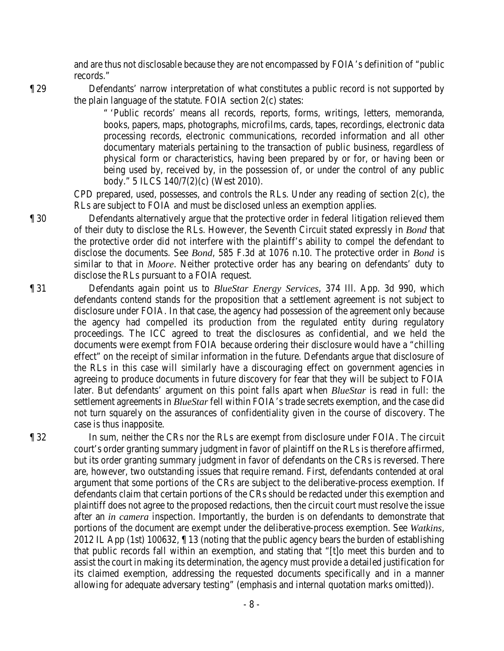and are thus not disclosable because they are not encompassed by FOIA's definition of "public records."

¶ 29 Defendants' narrow interpretation of what constitutes a public record is not supported by the plain language of the statute. FOIA section 2(c) states:

> " 'Public records' means all records, reports, forms, writings, letters, memoranda, books, papers, maps, photographs, microfilms, cards, tapes, recordings, electronic data processing records, electronic communications, recorded information and all other documentary materials pertaining to the transaction of public business, regardless of physical form or characteristics, having been prepared by or for, or having been or being used by, received by, in the possession of, or under the control of any public body." 5 ILCS 140/7(2)(c) (West 2010).

CPD prepared, used, possesses, and controls the RLs. Under any reading of section 2(c), the RLs are subject to FOIA and must be disclosed unless an exemption applies.

¶ 30 Defendants alternatively argue that the protective order in federal litigation relieved them of their duty to disclose the RLs. However, the Seventh Circuit stated expressly in *Bond* that the protective order did not interfere with the plaintiff's ability to compel the defendant to disclose the documents. See *Bond*, 585 F.3d at 1076 n.10. The protective order in *Bond* is similar to that in *Moore*. Neither protective order has any bearing on defendants' duty to disclose the RLs pursuant to a FOIA request.

¶ 31 Defendants again point us to *BlueStar Energy Services*, 374 Ill. App. 3d 990, which defendants contend stands for the proposition that a settlement agreement is not subject to disclosure under FOIA. In that case, the agency had possession of the agreement only because the agency had compelled its production from the regulated entity during regulatory proceedings. The ICC agreed to treat the disclosures as confidential, and we held the documents were exempt from FOIA because ordering their disclosure would have a "chilling effect" on the receipt of similar information in the future. Defendants argue that disclosure of the RLs in this case will similarly have a discouraging effect on government agencies in agreeing to produce documents in future discovery for fear that they will be subject to FOIA later. But defendants' argument on this point falls apart when *BlueStar* is read in full: the settlement agreements in *BlueStar* fell within FOIA's trade secrets exemption, and the case did not turn squarely on the assurances of confidentiality given in the course of discovery. The case is thus inapposite.

¶ 32 In sum, neither the CRs nor the RLs are exempt from disclosure under FOIA. The circuit court's order granting summary judgment in favor of plaintiff on the RLs is therefore affirmed, but its order granting summary judgment in favor of defendants on the CRs is reversed. There are, however, two outstanding issues that require remand. First, defendants contended at oral argument that some portions of the CRs are subject to the deliberative-process exemption. If defendants claim that certain portions of the CRs should be redacted under this exemption and plaintiff does not agree to the proposed redactions, then the circuit court must resolve the issue after an *in camera* inspection. Importantly, the burden is on defendants to demonstrate that portions of the document are exempt under the deliberative-process exemption. See *Watkins*, 2012 IL App (1st) 100632, ¶ 13 (noting that the public agency bears the burden of establishing that public records fall within an exemption, and stating that "[t]o meet this burden and to assist the court in making its determination, the agency must provide a detailed justification for its claimed exemption, addressing the requested documents specifically and in a manner allowing for adequate adversary testing" (emphasis and internal quotation marks omitted)).